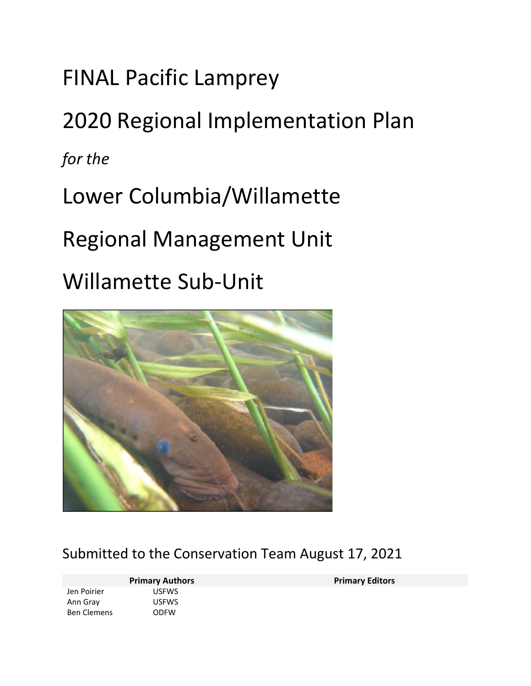FINAL Pacific Lamprey

2020 Regional Implementation Plan

*for the* 

Lower Columbia/Willamette

Regional Management Unit

Willamette Sub‐Unit



Submitted to the Conservation Team August 17, 2021

Jen Poirier Ann Gray Ben Clemens USFWS USFWS ODFW

**Primary Authors Primary Editors**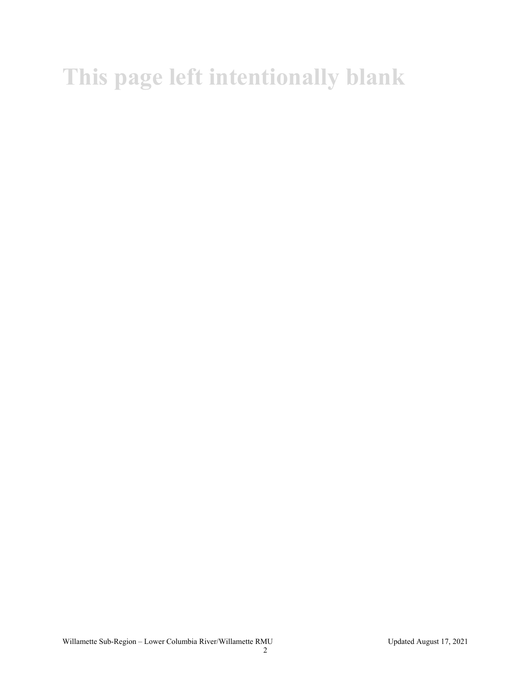# **This page left intentionally blank**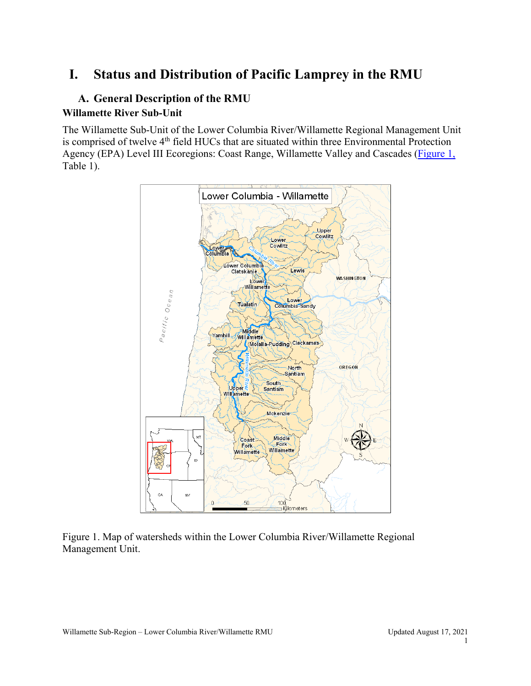## **I. Status and Distribution of Pacific Lamprey in the RMU**

### **A. General Description of the RMU**

#### **Willamette River Sub-Unit**

The Willamette Sub-Unit of the Lower Columbia River/Willamette Regional Management Unit is comprised of twelve 4<sup>th</sup> field HUCs that are situated within three Environmental Protection Agency (EPA) Level III Ecoregions: Coast Range, Willamette Valley and Cascades (Figure 1, Table 1).



Figure 1. Map of watersheds within the Lower Columbia River/Willamette Regional Management Unit.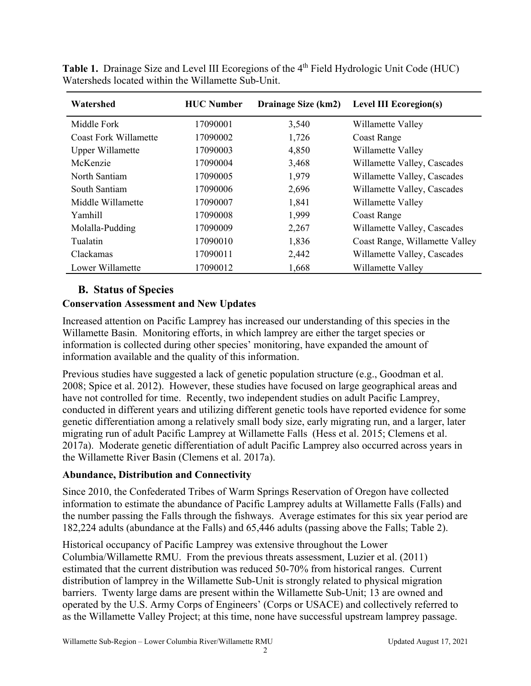| Watershed                    | <b>HUC Number</b> | <b>Drainage Size (km2)</b> | <b>Level III Ecoregion(s)</b>  |
|------------------------------|-------------------|----------------------------|--------------------------------|
| Middle Fork                  | 17090001          | 3,540                      | Willamette Valley              |
| <b>Coast Fork Willamette</b> | 17090002          | 1,726                      | <b>Coast Range</b>             |
| <b>Upper Willamette</b>      | 17090003          | 4,850                      | Willamette Valley              |
| McKenzie                     | 17090004          | 3,468                      | Willamette Valley, Cascades    |
| North Santiam                | 17090005          | 1,979                      | Willamette Valley, Cascades    |
| South Santiam                | 17090006          | 2,696                      | Willamette Valley, Cascades    |
| Middle Willamette            | 17090007          | 1,841                      | Willamette Valley              |
| Yamhill                      | 17090008          | 1,999                      | <b>Coast Range</b>             |
| Molalla-Pudding              | 17090009          | 2,267                      | Willamette Valley, Cascades    |
| Tualatin                     | 17090010          | 1,836                      | Coast Range, Willamette Valley |
| Clackamas                    | 17090011          | 2,442                      | Willamette Valley, Cascades    |
| Lower Willamette             | 17090012          | 1,668                      | Willamette Valley              |

Table 1. Drainage Size and Level III Ecoregions of the 4<sup>th</sup> Field Hydrologic Unit Code (HUC) Watersheds located within the Willamette Sub-Unit.

#### **B. Status of Species**

#### **Conservation Assessment and New Updates**

Increased attention on Pacific Lamprey has increased our understanding of this species in the Willamette Basin. Monitoring efforts, in which lamprey are either the target species or information is collected during other species' monitoring, have expanded the amount of information available and the quality of this information.

Previous studies have suggested a lack of genetic population structure (e.g., Goodman et al. 2008; Spice et al. 2012). However, these studies have focused on large geographical areas and have not controlled for time. Recently, two independent studies on adult Pacific Lamprey, conducted in different years and utilizing different genetic tools have reported evidence for some genetic differentiation among a relatively small body size, early migrating run, and a larger, later migrating run of adult Pacific Lamprey at Willamette Falls (Hess et al. 2015; Clemens et al. 2017a). Moderate genetic differentiation of adult Pacific Lamprey also occurred across years in the Willamette River Basin (Clemens et al. 2017a).

#### **Abundance, Distribution and Connectivity**

Since 2010, the Confederated Tribes of Warm Springs Reservation of Oregon have collected information to estimate the abundance of Pacific Lamprey adults at Willamette Falls (Falls) and the number passing the Falls through the fishways. Average estimates for this six year period are 182,224 adults (abundance at the Falls) and 65,446 adults (passing above the Falls; Table 2).

Historical occupancy of Pacific Lamprey was extensive throughout the Lower Columbia/Willamette RMU. From the previous threats assessment, Luzier et al. (2011) estimated that the current distribution was reduced 50-70% from historical ranges. Current distribution of lamprey in the Willamette Sub-Unit is strongly related to physical migration barriers. Twenty large dams are present within the Willamette Sub-Unit; 13 are owned and operated by the U.S. Army Corps of Engineers' (Corps or USACE) and collectively referred to as the Willamette Valley Project; at this time, none have successful upstream lamprey passage.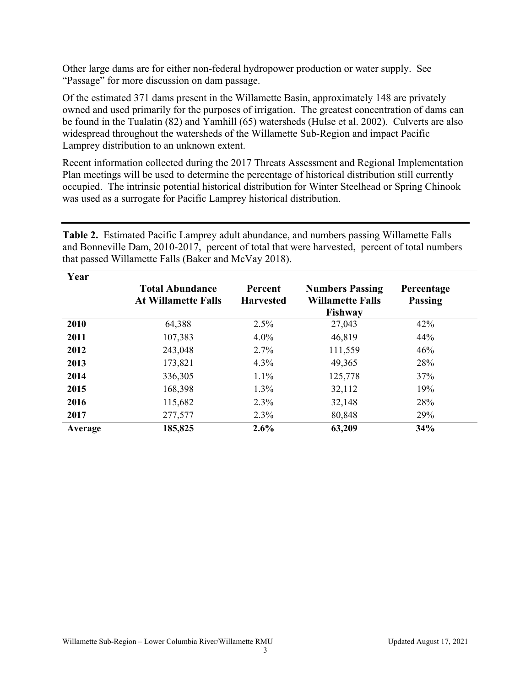Other large dams are for either non-federal hydropower production or water supply. See "Passage" for more discussion on dam passage.

Of the estimated 371 dams present in the Willamette Basin, approximately 148 are privately owned and used primarily for the purposes of irrigation. The greatest concentration of dams can be found in the Tualatin (82) and Yamhill (65) watersheds (Hulse et al. 2002). Culverts are also widespread throughout the watersheds of the Willamette Sub-Region and impact Pacific Lamprey distribution to an unknown extent.

Recent information collected during the 2017 Threats Assessment and Regional Implementation Plan meetings will be used to determine the percentage of historical distribution still currently occupied. The intrinsic potential historical distribution for Winter Steelhead or Spring Chinook was used as a surrogate for Pacific Lamprey historical distribution.

**Table 2.** Estimated Pacific Lamprey adult abundance, and numbers passing Willamette Falls and Bonneville Dam, 2010-2017, percent of total that were harvested, percent of total numbers that passed Willamette Falls (Baker and McVay 2018).

| Year    | <b>Total Abundance</b><br><b>At Willamette Falls</b> | Percent<br><b>Harvested</b> | <b>Numbers Passing</b><br><b>Willamette Falls</b><br>Fishway | Percentage<br><b>Passing</b> |
|---------|------------------------------------------------------|-----------------------------|--------------------------------------------------------------|------------------------------|
| 2010    | 64,388                                               | 2.5%                        | 27,043                                                       | 42%                          |
| 2011    | 107,383                                              | $4.0\%$                     | 46,819                                                       | 44%                          |
| 2012    | 243,048                                              | 2.7%                        | 111,559                                                      | 46%                          |
| 2013    | 173,821                                              | 4.3%                        | 49,365                                                       | 28%                          |
| 2014    | 336,305                                              | $1.1\%$                     | 125,778                                                      | 37%                          |
| 2015    | 168,398                                              | $1.3\%$                     | 32,112                                                       | 19%                          |
| 2016    | 115,682                                              | $2.3\%$                     | 32,148                                                       | 28%                          |
| 2017    | 277,577                                              | 2.3%                        | 80,848                                                       | 29%                          |
| Average | 185,825                                              | 2.6%                        | 63,209                                                       | 34%                          |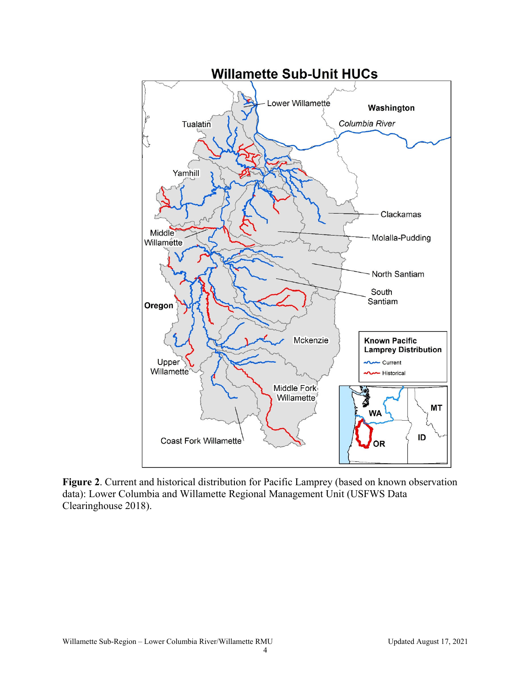

**Figure 2**. Current and historical distribution for Pacific Lamprey (based on known observation data): Lower Columbia and Willamette Regional Management Unit (USFWS Data Clearinghouse 2018).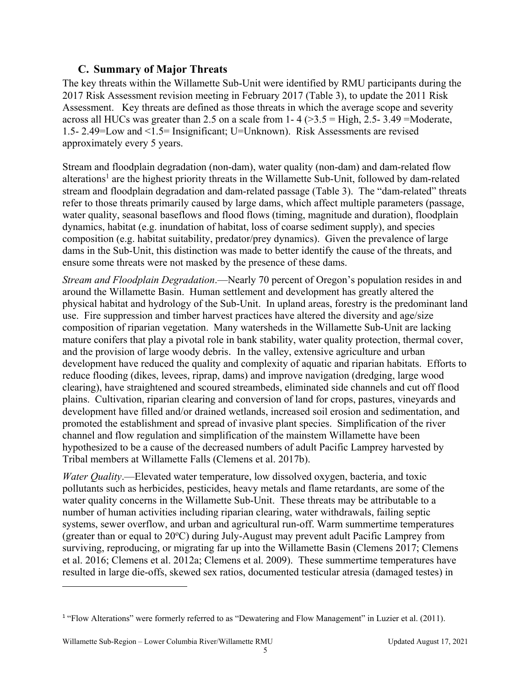#### **C. Summary of Major Threats**

The key threats within the Willamette Sub-Unit were identified by RMU participants during the 2017 Risk Assessment revision meeting in February 2017 (Table 3), to update the 2011 Risk Assessment. Key threats are defined as those threats in which the average scope and severity across all HUCs was greater than 2.5 on a scale from  $1 - 4$  ( $> 3.5$  = High, 2.5- 3.49 = Moderate, 1.5- 2.49=Low and <1.5= Insignificant; U=Unknown). Risk Assessments are revised approximately every 5 years.

Stream and floodplain degradation (non-dam), water quality (non-dam) and dam-related flow alterations<sup>1</sup> are the highest priority threats in the Willamette Sub-Unit, followed by dam-related stream and floodplain degradation and dam-related passage (Table 3). The "dam-related" threats refer to those threats primarily caused by large dams, which affect multiple parameters (passage, water quality, seasonal baseflows and flood flows (timing, magnitude and duration), floodplain dynamics, habitat (e.g. inundation of habitat, loss of coarse sediment supply), and species composition (e.g. habitat suitability, predator/prey dynamics). Given the prevalence of large dams in the Sub-Unit, this distinction was made to better identify the cause of the threats, and ensure some threats were not masked by the presence of these dams.

*Stream and Floodplain Degradation*.—Nearly 70 percent of Oregon's population resides in and around the Willamette Basin. Human settlement and development has greatly altered the physical habitat and hydrology of the Sub-Unit. In upland areas, forestry is the predominant land use. Fire suppression and timber harvest practices have altered the diversity and age/size composition of riparian vegetation. Many watersheds in the Willamette Sub-Unit are lacking mature conifers that play a pivotal role in bank stability, water quality protection, thermal cover, and the provision of large woody debris. In the valley, extensive agriculture and urban development have reduced the quality and complexity of aquatic and riparian habitats. Efforts to reduce flooding (dikes, levees, riprap, dams) and improve navigation (dredging, large wood clearing), have straightened and scoured streambeds, eliminated side channels and cut off flood plains. Cultivation, riparian clearing and conversion of land for crops, pastures, vineyards and development have filled and/or drained wetlands, increased soil erosion and sedimentation, and promoted the establishment and spread of invasive plant species. Simplification of the river channel and flow regulation and simplification of the mainstem Willamette have been hypothesized to be a cause of the decreased numbers of adult Pacific Lamprey harvested by Tribal members at Willamette Falls (Clemens et al. 2017b).

*Water Quality*.—Elevated water temperature, low dissolved oxygen, bacteria, and toxic pollutants such as herbicides, pesticides, heavy metals and flame retardants, are some of the water quality concerns in the Willamette Sub-Unit. These threats may be attributable to a number of human activities including riparian clearing, water withdrawals, failing septic systems, sewer overflow, and urban and agricultural run-off. Warm summertime temperatures (greater than or equal to  $20^{\circ}$ C) during July-August may prevent adult Pacific Lamprey from surviving, reproducing, or migrating far up into the Willamette Basin (Clemens 2017; Clemens et al. 2016; Clemens et al. 2012a; Clemens et al. 2009). These summertime temperatures have resulted in large die-offs, skewed sex ratios, documented testicular atresia (damaged testes) in

<sup>&</sup>lt;sup>1</sup> "Flow Alterations" were formerly referred to as "Dewatering and Flow Management" in Luzier et al. (2011).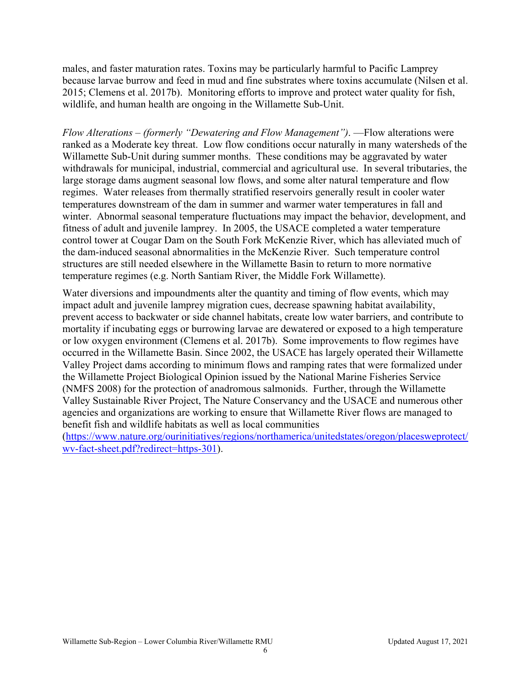males, and faster maturation rates. Toxins may be particularly harmful to Pacific Lamprey because larvae burrow and feed in mud and fine substrates where toxins accumulate (Nilsen et al. 2015; Clemens et al. 2017b). Monitoring efforts to improve and protect water quality for fish, wildlife, and human health are ongoing in the Willamette Sub-Unit.

*Flow Alterations – (formerly "Dewatering and Flow Management")*. —Flow alterations were ranked as a Moderate key threat. Low flow conditions occur naturally in many watersheds of the Willamette Sub-Unit during summer months. These conditions may be aggravated by water withdrawals for municipal, industrial, commercial and agricultural use. In several tributaries, the large storage dams augment seasonal low flows, and some alter natural temperature and flow regimes. Water releases from thermally stratified reservoirs generally result in cooler water temperatures downstream of the dam in summer and warmer water temperatures in fall and winter. Abnormal seasonal temperature fluctuations may impact the behavior, development, and fitness of adult and juvenile lamprey. In 2005, the USACE completed a water temperature control tower at Cougar Dam on the South Fork McKenzie River, which has alleviated much of the dam-induced seasonal abnormalities in the McKenzie River. Such temperature control structures are still needed elsewhere in the Willamette Basin to return to more normative temperature regimes (e.g. North Santiam River, the Middle Fork Willamette).

Water diversions and impoundments alter the quantity and timing of flow events, which may impact adult and juvenile lamprey migration cues, decrease spawning habitat availability, prevent access to backwater or side channel habitats, create low water barriers, and contribute to mortality if incubating eggs or burrowing larvae are dewatered or exposed to a high temperature or low oxygen environment (Clemens et al. 2017b). Some improvements to flow regimes have occurred in the Willamette Basin. Since 2002, the USACE has largely operated their Willamette Valley Project dams according to minimum flows and ramping rates that were formalized under the Willamette Project Biological Opinion issued by the National Marine Fisheries Service (NMFS 2008) for the protection of anadromous salmonids. Further, through the Willamette Valley Sustainable River Project, The Nature Conservancy and the USACE and numerous other agencies and organizations are working to ensure that Willamette River flows are managed to benefit fish and wildlife habitats as well as local communities

(https://www.nature.org/ourinitiatives/regions/northamerica/unitedstates/oregon/placesweprotect/ wv-fact-sheet.pdf?redirect=https-301).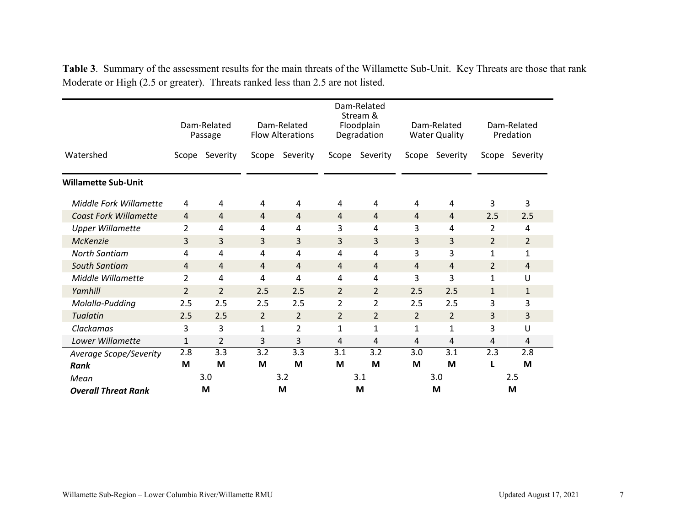|                              |                  | Dam-Related<br>Passage |                  | Dam-Related<br><b>Flow Alterations</b> |                  | Dam-Related<br>Stream &<br>Floodplain<br>Degradation |                  | Dam-Related<br><b>Water Quality</b> |                | Dam-Related<br>Predation |
|------------------------------|------------------|------------------------|------------------|----------------------------------------|------------------|------------------------------------------------------|------------------|-------------------------------------|----------------|--------------------------|
| Watershed                    |                  | Scope Severity         | Scope            | Severity                               | Scope            | Severity                                             | Scope            | Severity                            | Scope          | Severity                 |
| <b>Willamette Sub-Unit</b>   |                  |                        |                  |                                        |                  |                                                      |                  |                                     |                |                          |
| Middle Fork Willamette       | 4                | 4                      | 4                | 4                                      | 4                | 4                                                    | 4                | 4                                   | 3              | 3                        |
| <b>Coast Fork Willamette</b> | $\overline{4}$   | 4                      | 4                | 4                                      | $\overline{4}$   | 4                                                    | $\overline{4}$   | $\overline{4}$                      | 2.5            | 2.5                      |
| <b>Upper Willamette</b>      | 2                | 4                      | 4                | 4                                      | 3                | 4                                                    | 3                | 4                                   | 2              | 4                        |
| McKenzie                     | 3                | 3                      | 3                | 3                                      | 3                | 3                                                    | 3                | 3                                   | $\overline{2}$ | $\overline{2}$           |
| <b>North Santiam</b>         | 4                | 4                      | 4                | 4                                      | 4                | 4                                                    | 3                | 3                                   | $\mathbf{1}$   | $\mathbf{1}$             |
| <b>South Santiam</b>         | $\overline{4}$   | 4                      | 4                | 4                                      | $\overline{4}$   | 4                                                    | $\overline{4}$   | 4                                   | $\overline{2}$ | 4                        |
| Middle Willamette            | 2                | 4                      | 4                | 4                                      | 4                | 4                                                    | 3                | 3                                   | $\mathbf{1}$   | U                        |
| Yamhill                      | $\overline{2}$   | $\overline{2}$         | 2.5              | 2.5                                    | $\overline{2}$   | 2                                                    | 2.5              | 2.5                                 | $\mathbf{1}$   | $\mathbf{1}$             |
| Molalla-Pudding              | 2.5              | 2.5                    | 2.5              | 2.5                                    | $\overline{2}$   | $\overline{2}$                                       | 2.5              | 2.5                                 | 3              | 3                        |
| <b>Tualatin</b>              | 2.5              | 2.5                    | $\overline{2}$   | $\overline{2}$                         | $\overline{2}$   | $\overline{2}$                                       | $\overline{2}$   | $\overline{2}$                      | 3              | 3                        |
| Clackamas                    | 3                | 3                      | $\mathbf{1}$     | 2                                      | $\mathbf{1}$     | 1                                                    | $\mathbf{1}$     | 1                                   | 3              | U                        |
| Lower Willamette             | $\mathbf{1}$     | $\overline{2}$         | 3                | 3                                      | 4                | 4                                                    | 4                | 4                                   | 4              | 4                        |
| Average Scope/Severity       | $\overline{2.8}$ | $\overline{3.3}$       | $\overline{3.2}$ | $\overline{3.3}$                       | $\overline{3.1}$ | $\overline{3.2}$                                     | $\overline{3.0}$ | $\overline{3.1}$                    | 2.3            | $\overline{2.8}$         |
| <b>Rank</b>                  | M                | M                      | M                | M                                      | M                | M                                                    | M                | M                                   | L              | M                        |
| Mean                         |                  | 3.0                    |                  | 3.2                                    |                  | 3.1                                                  |                  | 3.0                                 |                | 2.5                      |
| <b>Overall Threat Rank</b>   |                  | M                      |                  | M                                      |                  | M                                                    |                  | M                                   |                | M                        |

**Table 3**. Summary of the assessment results for the main threats of the Willamette Sub-Unit. Key Threats are those that rank Moderate or High (2.5 or greater). Threats ranked less than 2.5 are not listed.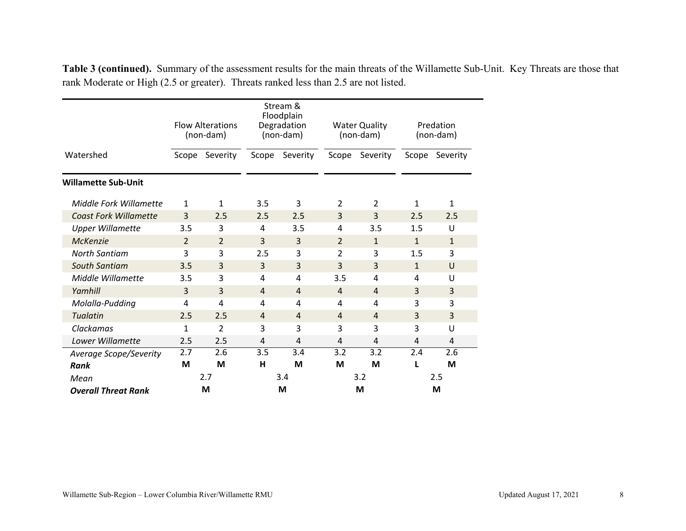|                              | <b>Flow Alterations</b><br>(non-dam) |                |                  | Stream &<br>Floodplain<br>Degradation<br>(non-dam) | <b>Water Quality</b><br>(non-dam) |                  | Predation<br>(non-dam) |              |
|------------------------------|--------------------------------------|----------------|------------------|----------------------------------------------------|-----------------------------------|------------------|------------------------|--------------|
| Watershed                    | Scope                                | Severity       | Scope            | Severity                                           | Scope                             | Severity         | Scope                  | Severity     |
| <b>Willamette Sub-Unit</b>   |                                      |                |                  |                                                    |                                   |                  |                        |              |
| Middle Fork Willamette       | 1                                    | 1              | 3.5              | 3                                                  | $\overline{2}$                    | $\overline{2}$   | 1                      | $\mathbf{1}$ |
| <b>Coast Fork Willamette</b> | 3                                    | 2.5            | 2.5              | 2.5                                                | 3                                 | 3                | 2.5                    | 2.5          |
| <b>Upper Willamette</b>      | 3.5                                  | 3              | 4                | 3.5                                                | 4                                 | 3.5              | 1.5                    | $\cup$       |
| <b>McKenzie</b>              | $\overline{2}$                       | $\overline{2}$ | 3                | $\overline{3}$                                     | $\overline{2}$                    | $\mathbf{1}$     | $\mathbf{1}$           | $\mathbf{1}$ |
| <b>North Santiam</b>         | 3                                    | 3              | 2.5              | 3                                                  | $\overline{2}$                    | 3                | 1.5                    | 3            |
| <b>South Santiam</b>         | 3.5                                  | 3              | 3                | 3                                                  | 3                                 | 3                | $\mathbf{1}$           | $\cup$       |
| Middle Willamette            | 3.5                                  | 3              | 4                | 4                                                  | 3.5                               | 4                | 4                      | U            |
| Yamhill                      | 3                                    | 3              | $\overline{4}$   | $\overline{4}$                                     | $\overline{4}$                    | $\overline{4}$   | 3                      | 3            |
| Molalla-Pudding              | 4                                    | 4              | 4                | 4                                                  | 4                                 | 4                | 3                      | 3            |
| <b>Tualatin</b>              | 2.5                                  | 2.5            | 4                | $\overline{4}$                                     | $\overline{4}$                    | $\overline{4}$   | 3                      | 3            |
| Clackamas                    | $\mathbf{1}$                         | 2              | 3                | 3                                                  | 3                                 | 3                | 3                      | U            |
| Lower Willamette             | 2.5                                  | 2.5            | 4                | 4                                                  | 4                                 | 4                | 4                      | 4            |
| Average Scope/Severity       | 2.7                                  | 2.6            | $\overline{3.5}$ | $\overline{3.4}$                                   | 3.2                               | $\overline{3.2}$ | 2.4                    | 2.6          |
| Rank                         | M                                    | M              | H                | M                                                  | M                                 | M                | L                      | M            |
| Mean                         |                                      | 2.7            | 3.4              |                                                    | 3.2                               |                  | 2.5                    |              |
| <b>Overall Threat Rank</b>   |                                      | M              |                  | M                                                  |                                   | M                |                        | M            |

**Table 3 (continued).** Summary of the assessment results for the main threats of the Willamette Sub-Unit. Key Threats are those that rank Moderate or High (2.5 or greater). Threats ranked less than 2.5 are not listed.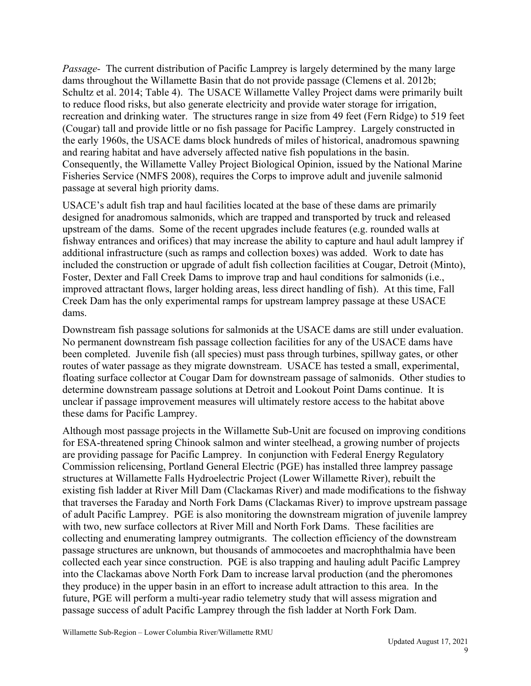*Passage-* The current distribution of Pacific Lamprey is largely determined by the many large dams throughout the Willamette Basin that do not provide passage (Clemens et al. 2012b; Schultz et al. 2014; Table 4). The USACE Willamette Valley Project dams were primarily built to reduce flood risks, but also generate electricity and provide water storage for irrigation, recreation and drinking water. The structures range in size from 49 feet (Fern Ridge) to 519 feet (Cougar) tall and provide little or no fish passage for Pacific Lamprey. Largely constructed in the early 1960s, the USACE dams block hundreds of miles of historical, anadromous spawning and rearing habitat and have adversely affected native fish populations in the basin. Consequently, the Willamette Valley Project Biological Opinion, issued by the National Marine Fisheries Service (NMFS 2008), requires the Corps to improve adult and juvenile salmonid passage at several high priority dams.

USACE's adult fish trap and haul facilities located at the base of these dams are primarily designed for anadromous salmonids, which are trapped and transported by truck and released upstream of the dams. Some of the recent upgrades include features (e.g. rounded walls at fishway entrances and orifices) that may increase the ability to capture and haul adult lamprey if additional infrastructure (such as ramps and collection boxes) was added. Work to date has included the construction or upgrade of adult fish collection facilities at Cougar, Detroit (Minto), Foster, Dexter and Fall Creek Dams to improve trap and haul conditions for salmonids (i.e., improved attractant flows, larger holding areas, less direct handling of fish). At this time, Fall Creek Dam has the only experimental ramps for upstream lamprey passage at these USACE dams.

Downstream fish passage solutions for salmonids at the USACE dams are still under evaluation. No permanent downstream fish passage collection facilities for any of the USACE dams have been completed. Juvenile fish (all species) must pass through turbines, spillway gates, or other routes of water passage as they migrate downstream. USACE has tested a small, experimental, floating surface collector at Cougar Dam for downstream passage of salmonids. Other studies to determine downstream passage solutions at Detroit and Lookout Point Dams continue. It is unclear if passage improvement measures will ultimately restore access to the habitat above these dams for Pacific Lamprey.

Although most passage projects in the Willamette Sub-Unit are focused on improving conditions for ESA-threatened spring Chinook salmon and winter steelhead, a growing number of projects are providing passage for Pacific Lamprey. In conjunction with Federal Energy Regulatory Commission relicensing, Portland General Electric (PGE) has installed three lamprey passage structures at Willamette Falls Hydroelectric Project (Lower Willamette River), rebuilt the existing fish ladder at River Mill Dam (Clackamas River) and made modifications to the fishway that traverses the Faraday and North Fork Dams (Clackamas River) to improve upstream passage of adult Pacific Lamprey. PGE is also monitoring the downstream migration of juvenile lamprey with two, new surface collectors at River Mill and North Fork Dams. These facilities are collecting and enumerating lamprey outmigrants. The collection efficiency of the downstream passage structures are unknown, but thousands of ammocoetes and macrophthalmia have been collected each year since construction. PGE is also trapping and hauling adult Pacific Lamprey into the Clackamas above North Fork Dam to increase larval production (and the pheromones they produce) in the upper basin in an effort to increase adult attraction to this area. In the future, PGE will perform a multi-year radio telemetry study that will assess migration and passage success of adult Pacific Lamprey through the fish ladder at North Fork Dam.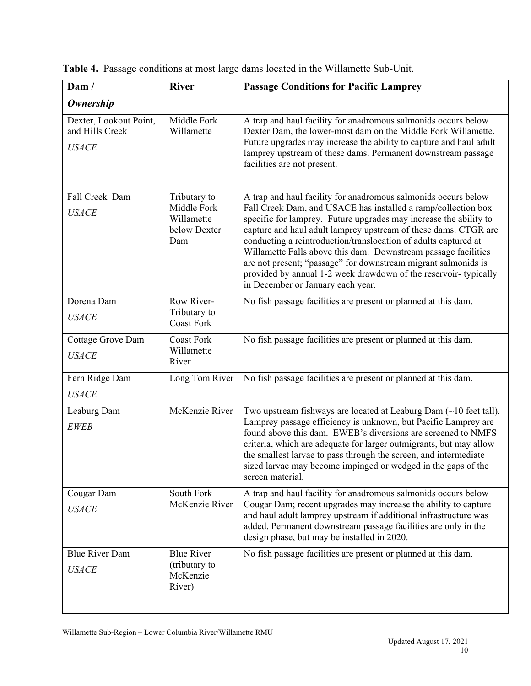| Dam/                                                      | <b>River</b>                                             | <b>Passage Conditions for Pacific Lamprey</b>                                                                                                                                                                                                                                                                                                                                                                                                                                                                         |
|-----------------------------------------------------------|----------------------------------------------------------|-----------------------------------------------------------------------------------------------------------------------------------------------------------------------------------------------------------------------------------------------------------------------------------------------------------------------------------------------------------------------------------------------------------------------------------------------------------------------------------------------------------------------|
| <b>Ownership</b>                                          |                                                          |                                                                                                                                                                                                                                                                                                                                                                                                                                                                                                                       |
| Dexter, Lookout Point,<br>and Hills Creek<br><b>USACE</b> | Middle Fork<br>Willamette                                | A trap and haul facility for anadromous salmonids occurs below<br>Dexter Dam, the lower-most dam on the Middle Fork Willamette.<br>Future upgrades may increase the ability to capture and haul adult<br>lamprey upstream of these dams. Permanent downstream passage<br>facilities are not present.                                                                                                                                                                                                                  |
| Fall Creek Dam                                            | Tributary to                                             | A trap and haul facility for anadromous salmonids occurs below                                                                                                                                                                                                                                                                                                                                                                                                                                                        |
| <b>USACE</b>                                              | Middle Fork<br>Willamette<br>below Dexter<br>Dam         | Fall Creek Dam, and USACE has installed a ramp/collection box<br>specific for lamprey. Future upgrades may increase the ability to<br>capture and haul adult lamprey upstream of these dams. CTGR are<br>conducting a reintroduction/translocation of adults captured at<br>Willamette Falls above this dam. Downstream passage facilities<br>are not present; "passage" for downstream migrant salmonids is<br>provided by annual 1-2 week drawdown of the reservoir- typically<br>in December or January each year. |
| Dorena Dam                                                | Row River-                                               | No fish passage facilities are present or planned at this dam.                                                                                                                                                                                                                                                                                                                                                                                                                                                        |
| <b>USACE</b>                                              | Tributary to<br><b>Coast Fork</b>                        |                                                                                                                                                                                                                                                                                                                                                                                                                                                                                                                       |
| Cottage Grove Dam<br><b>USACE</b>                         | <b>Coast Fork</b><br>Willamette<br>River                 | No fish passage facilities are present or planned at this dam.                                                                                                                                                                                                                                                                                                                                                                                                                                                        |
| Fern Ridge Dam<br><b>USACE</b>                            | Long Tom River                                           | No fish passage facilities are present or planned at this dam.                                                                                                                                                                                                                                                                                                                                                                                                                                                        |
| Leaburg Dam<br><b>EWEB</b>                                | McKenzie River                                           | Two upstream fishways are located at Leaburg Dam $(\sim 10$ feet tall).<br>Lamprey passage efficiency is unknown, but Pacific Lamprey are<br>found above this dam. EWEB's diversions are screened to NMFS<br>criteria, which are adequate for larger outmigrants, but may allow<br>the smallest larvae to pass through the screen, and intermediate<br>sized larvae may become impinged or wedged in the gaps of the<br>screen material.                                                                              |
| Cougar Dam<br><b>USACE</b>                                | South Fork<br>McKenzie River                             | A trap and haul facility for anadromous salmonids occurs below<br>Cougar Dam; recent upgrades may increase the ability to capture<br>and haul adult lamprey upstream if additional infrastructure was<br>added. Permanent downstream passage facilities are only in the<br>design phase, but may be installed in 2020.                                                                                                                                                                                                |
| <b>Blue River Dam</b><br><b>USACE</b>                     | <b>Blue River</b><br>(tributary to<br>McKenzie<br>River) | No fish passage facilities are present or planned at this dam.                                                                                                                                                                                                                                                                                                                                                                                                                                                        |

**Table 4.** Passage conditions at most large dams located in the Willamette Sub-Unit.

Willamette Sub-Region – Lower Columbia River/Willamette RMU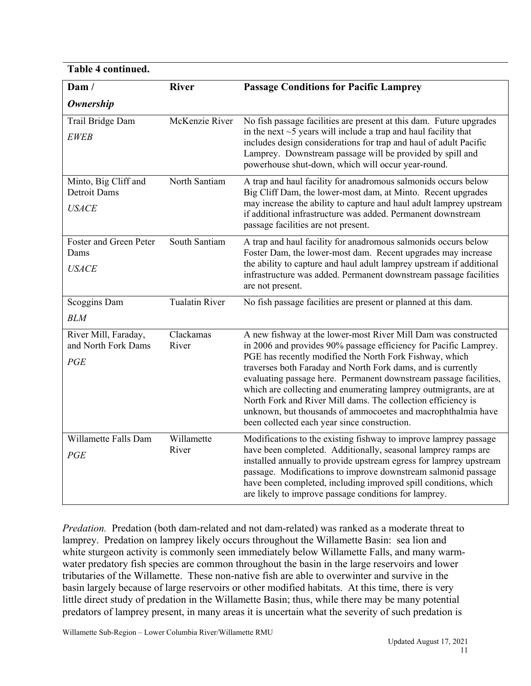| Dam/                                                 | <b>River</b>          | <b>Passage Conditions for Pacific Lamprey</b>                                                                                                                                                                                                                                                                                                                                                                                                                                                                                                                                          |
|------------------------------------------------------|-----------------------|----------------------------------------------------------------------------------------------------------------------------------------------------------------------------------------------------------------------------------------------------------------------------------------------------------------------------------------------------------------------------------------------------------------------------------------------------------------------------------------------------------------------------------------------------------------------------------------|
| <b>Ownership</b>                                     |                       |                                                                                                                                                                                                                                                                                                                                                                                                                                                                                                                                                                                        |
| Trail Bridge Dam<br><b>EWEB</b>                      | McKenzie River        | No fish passage facilities are present at this dam. Future upgrades<br>in the next $\sim$ 5 years will include a trap and haul facility that<br>includes design considerations for trap and haul of adult Pacific<br>Lamprey. Downstream passage will be provided by spill and<br>powerhouse shut-down, which will occur year-round.                                                                                                                                                                                                                                                   |
| Minto, Big Cliff and<br>Detroit Dams<br><b>USACE</b> | North Santiam         | A trap and haul facility for anadromous salmonids occurs below<br>Big Cliff Dam, the lower-most dam, at Minto. Recent upgrades<br>may increase the ability to capture and haul adult lamprey upstream<br>if additional infrastructure was added. Permanent downstream<br>passage facilities are not present.                                                                                                                                                                                                                                                                           |
| Foster and Green Peter<br>Dams<br><b>USACE</b>       | South Santiam         | A trap and haul facility for anadromous salmonids occurs below<br>Foster Dam, the lower-most dam. Recent upgrades may increase<br>the ability to capture and haul adult lamprey upstream if additional<br>infrastructure was added. Permanent downstream passage facilities<br>are not present.                                                                                                                                                                                                                                                                                        |
| Scoggins Dam<br><b>BLM</b>                           | <b>Tualatin River</b> | No fish passage facilities are present or planned at this dam.                                                                                                                                                                                                                                                                                                                                                                                                                                                                                                                         |
| River Mill, Faraday,<br>and North Fork Dams<br>PGE   | Clackamas<br>River    | A new fishway at the lower-most River Mill Dam was constructed<br>in 2006 and provides 90% passage efficiency for Pacific Lamprey.<br>PGE has recently modified the North Fork Fishway, which<br>traverses both Faraday and North Fork dams, and is currently<br>evaluating passage here. Permanent downstream passage facilities,<br>which are collecting and enumerating lamprey outmigrants, are at<br>North Fork and River Mill dams. The collection efficiency is<br>unknown, but thousands of ammocoetes and macrophthalmia have<br>been collected each year since construction. |
| Willamette Falls Dam<br>PGE                          | Willamette<br>River   | Modifications to the existing fishway to improve lamprey passage<br>have been completed. Additionally, seasonal lamprey ramps are<br>installed annually to provide upstream egress for lamprey upstream<br>passage. Modifications to improve downstream salmonid passage<br>have been completed, including improved spill conditions, which<br>are likely to improve passage conditions for lamprey.                                                                                                                                                                                   |

*Predation.* Predation (both dam-related and not dam-related) was ranked as a moderate threat to lamprey. Predation on lamprey likely occurs throughout the Willamette Basin: sea lion and white sturgeon activity is commonly seen immediately below Willamette Falls, and many warmwater predatory fish species are common throughout the basin in the large reservoirs and lower tributaries of the Willamette. These non-native fish are able to overwinter and survive in the basin largely because of large reservoirs or other modified habitats. At this time, there is very little direct study of predation in the Willamette Basin; thus, while there may be many potential predators of lamprey present, in many areas it is uncertain what the severity of such predation is

Willamette Sub-Region – Lower Columbia River/Willamette RMU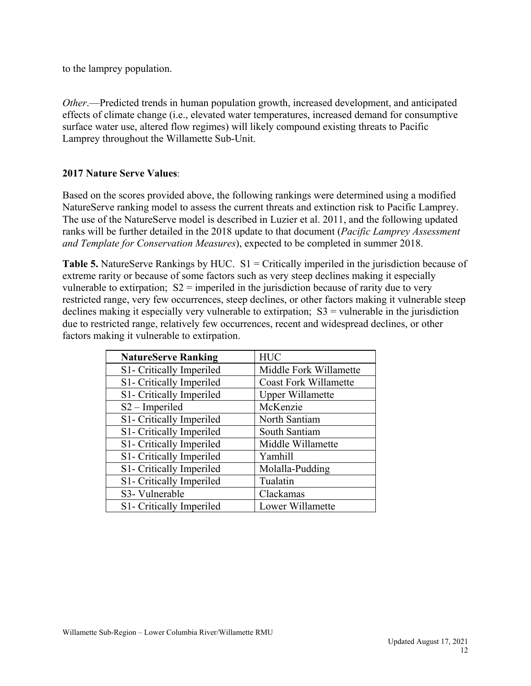to the lamprey population.

*Other*.—Predicted trends in human population growth, increased development, and anticipated effects of climate change (i.e., elevated water temperatures, increased demand for consumptive surface water use, altered flow regimes) will likely compound existing threats to Pacific Lamprey throughout the Willamette Sub-Unit.

#### **2017 Nature Serve Values**:

Based on the scores provided above, the following rankings were determined using a modified NatureServe ranking model to assess the current threats and extinction risk to Pacific Lamprey. The use of the NatureServe model is described in Luzier et al. 2011, and the following updated ranks will be further detailed in the 2018 update to that document (*Pacific Lamprey Assessment and Template for Conservation Measures*), expected to be completed in summer 2018.

**Table 5.** NatureServe Rankings by HUC. S1 = Critically imperiled in the jurisdiction because of extreme rarity or because of some factors such as very steep declines making it especially vulnerable to extirpation;  $S2 =$  imperiled in the jurisdiction because of rarity due to very restricted range, very few occurrences, steep declines, or other factors making it vulnerable steep declines making it especially very vulnerable to extirpation; S3 = vulnerable in the jurisdiction due to restricted range, relatively few occurrences, recent and widespread declines, or other factors making it vulnerable to extirpation.

| <b>NatureServe Ranking</b> | <b>HUC</b>                   |
|----------------------------|------------------------------|
| S1- Critically Imperiled   | Middle Fork Willamette       |
| S1- Critically Imperiled   | <b>Coast Fork Willamette</b> |
| S1- Critically Imperiled   | <b>Upper Willamette</b>      |
| $S2$ – Imperiled           | McKenzie                     |
| S1- Critically Imperiled   | North Santiam                |
| S1- Critically Imperiled   | South Santiam                |
| S1- Critically Imperiled   | Middle Willamette            |
| S1- Critically Imperiled   | Yamhill                      |
| S1- Critically Imperiled   | Molalla-Pudding              |
| S1- Critically Imperiled   | Tualatin                     |
| S3- Vulnerable             | Clackamas                    |
| S1- Critically Imperiled   | Lower Willamette             |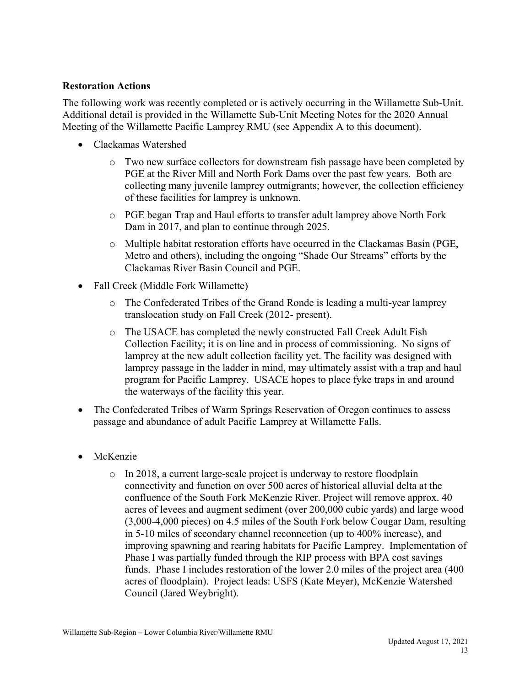#### **Restoration Actions**

The following work was recently completed or is actively occurring in the Willamette Sub-Unit. Additional detail is provided in the Willamette Sub-Unit Meeting Notes for the 2020 Annual Meeting of the Willamette Pacific Lamprey RMU (see Appendix A to this document).

- Clackamas Watershed
	- o Two new surface collectors for downstream fish passage have been completed by PGE at the River Mill and North Fork Dams over the past few years. Both are collecting many juvenile lamprey outmigrants; however, the collection efficiency of these facilities for lamprey is unknown.
	- o PGE began Trap and Haul efforts to transfer adult lamprey above North Fork Dam in 2017, and plan to continue through 2025.
	- o Multiple habitat restoration efforts have occurred in the Clackamas Basin (PGE, Metro and others), including the ongoing "Shade Our Streams" efforts by the Clackamas River Basin Council and PGE.
- Fall Creek (Middle Fork Willamette)
	- o The Confederated Tribes of the Grand Ronde is leading a multi-year lamprey translocation study on Fall Creek (2012- present).
	- o The USACE has completed the newly constructed Fall Creek Adult Fish Collection Facility; it is on line and in process of commissioning. No signs of lamprey at the new adult collection facility yet. The facility was designed with lamprey passage in the ladder in mind, may ultimately assist with a trap and haul program for Pacific Lamprey. USACE hopes to place fyke traps in and around the waterways of the facility this year.
- The Confederated Tribes of Warm Springs Reservation of Oregon continues to assess passage and abundance of adult Pacific Lamprey at Willamette Falls.
- McKenzie
	- o In 2018, a current large-scale project is underway to restore floodplain connectivity and function on over 500 acres of historical alluvial delta at the confluence of the South Fork McKenzie River. Project will remove approx. 40 acres of levees and augment sediment (over 200,000 cubic yards) and large wood (3,000-4,000 pieces) on 4.5 miles of the South Fork below Cougar Dam, resulting in 5-10 miles of secondary channel reconnection (up to 400% increase), and improving spawning and rearing habitats for Pacific Lamprey. Implementation of Phase I was partially funded through the RIP process with BPA cost savings funds. Phase I includes restoration of the lower 2.0 miles of the project area (400 acres of floodplain). Project leads: USFS (Kate Meyer), McKenzie Watershed Council (Jared Weybright).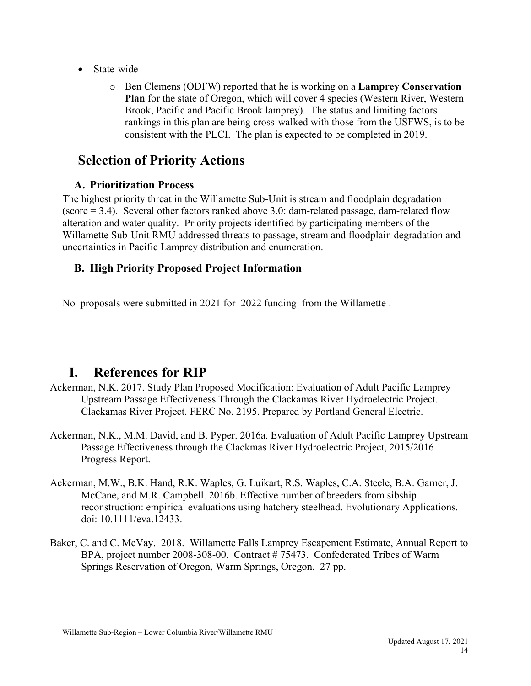- State-wide
	- o Ben Clemens (ODFW) reported that he is working on a **Lamprey Conservation Plan** for the state of Oregon, which will cover 4 species (Western River, Western Brook, Pacific and Pacific Brook lamprey). The status and limiting factors rankings in this plan are being cross-walked with those from the USFWS, is to be consistent with the PLCI. The plan is expected to be completed in 2019.

# **Selection of Priority Actions**

## **A. Prioritization Process**

The highest priority threat in the Willamette Sub-Unit is stream and floodplain degradation (score  $= 3.4$ ). Several other factors ranked above 3.0: dam-related passage, dam-related flow alteration and water quality. Priority projects identified by participating members of the Willamette Sub-Unit RMU addressed threats to passage, stream and floodplain degradation and uncertainties in Pacific Lamprey distribution and enumeration.

## **B. High Priority Proposed Project Information**

No proposals were submitted in 2021 for 2022 funding from the Willamette .

# **I. References for RIP**

- Ackerman, N.K. 2017. Study Plan Proposed Modification: Evaluation of Adult Pacific Lamprey Upstream Passage Effectiveness Through the Clackamas River Hydroelectric Project. Clackamas River Project. FERC No. 2195. Prepared by Portland General Electric.
- Ackerman, N.K., M.M. David, and B. Pyper. 2016a. Evaluation of Adult Pacific Lamprey Upstream Passage Effectiveness through the Clackmas River Hydroelectric Project, 2015/2016 Progress Report.
- Ackerman, M.W., B.K. Hand, R.K. Waples, G. Luikart, R.S. Waples, C.A. Steele, B.A. Garner, J. McCane, and M.R. Campbell. 2016b. Effective number of breeders from sibship reconstruction: empirical evaluations using hatchery steelhead. Evolutionary Applications. doi: 10.1111/eva.12433.
- Baker, C. and C. McVay. 2018. Willamette Falls Lamprey Escapement Estimate, Annual Report to BPA, project number 2008-308-00. Contract # 75473. Confederated Tribes of Warm Springs Reservation of Oregon, Warm Springs, Oregon. 27 pp.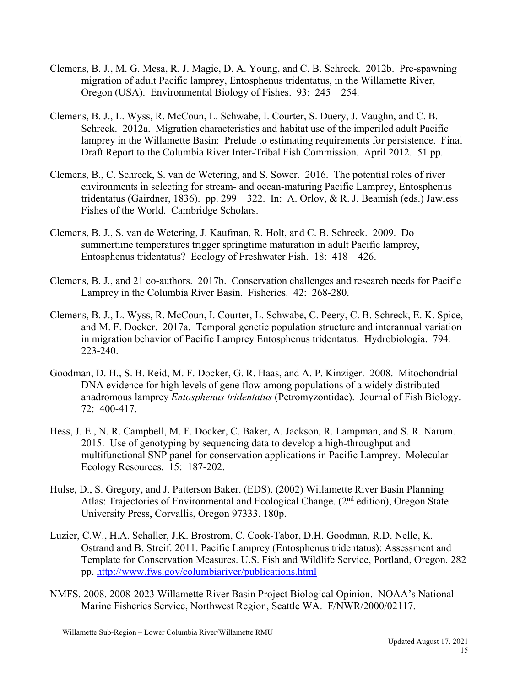- Clemens, B. J., M. G. Mesa, R. J. Magie, D. A. Young, and C. B. Schreck. 2012b. Pre-spawning migration of adult Pacific lamprey, Entosphenus tridentatus, in the Willamette River, Oregon (USA). Environmental Biology of Fishes. 93: 245 – 254.
- Clemens, B. J., L. Wyss, R. McCoun, L. Schwabe, I. Courter, S. Duery, J. Vaughn, and C. B. Schreck. 2012a. Migration characteristics and habitat use of the imperiled adult Pacific lamprey in the Willamette Basin: Prelude to estimating requirements for persistence. Final Draft Report to the Columbia River Inter-Tribal Fish Commission. April 2012. 51 pp.
- Clemens, B., C. Schreck, S. van de Wetering, and S. Sower. 2016. The potential roles of river environments in selecting for stream- and ocean-maturing Pacific Lamprey, Entosphenus tridentatus (Gairdner, 1836). pp. 299 – 322. In: A. Orlov, & R. J. Beamish (eds.) Jawless Fishes of the World. Cambridge Scholars.
- Clemens, B. J., S. van de Wetering, J. Kaufman, R. Holt, and C. B. Schreck. 2009. Do summertime temperatures trigger springtime maturation in adult Pacific lamprey, Entosphenus tridentatus? Ecology of Freshwater Fish. 18: 418 – 426.
- Clemens, B. J., and 21 co-authors. 2017b. Conservation challenges and research needs for Pacific Lamprey in the Columbia River Basin. Fisheries. 42: 268-280.
- Clemens, B. J., L. Wyss, R. McCoun, I. Courter, L. Schwabe, C. Peery, C. B. Schreck, E. K. Spice, and M. F. Docker. 2017a. Temporal genetic population structure and interannual variation in migration behavior of Pacific Lamprey Entosphenus tridentatus. Hydrobiologia. 794: 223-240.
- Goodman, D. H., S. B. Reid, M. F. Docker, G. R. Haas, and A. P. Kinziger. 2008. Mitochondrial DNA evidence for high levels of gene flow among populations of a widely distributed anadromous lamprey *Entosphenus tridentatus* (Petromyzontidae). Journal of Fish Biology. 72: 400-417.
- Hess, J. E., N. R. Campbell, M. F. Docker, C. Baker, A. Jackson, R. Lampman, and S. R. Narum. 2015. Use of genotyping by sequencing data to develop a high-throughput and multifunctional SNP panel for conservation applications in Pacific Lamprey. Molecular Ecology Resources. 15: 187-202.
- Hulse, D., S. Gregory, and J. Patterson Baker. (EDS). (2002) Willamette River Basin Planning Atlas: Trajectories of Environmental and Ecological Change. (2<sup>nd</sup> edition), Oregon State University Press, Corvallis, Oregon 97333. 180p.
- Luzier, C.W., H.A. Schaller, J.K. Brostrom, C. Cook-Tabor, D.H. Goodman, R.D. Nelle, K. Ostrand and B. Streif. 2011. Pacific Lamprey (Entosphenus tridentatus): Assessment and Template for Conservation Measures. U.S. Fish and Wildlife Service, Portland, Oregon. 282 pp. http://www.fws.gov/columbiariver/publications.html
- NMFS. 2008. 2008-2023 Willamette River Basin Project Biological Opinion. NOAA's National Marine Fisheries Service, Northwest Region, Seattle WA. F/NWR/2000/02117.

Willamette Sub-Region – Lower Columbia River/Willamette RMU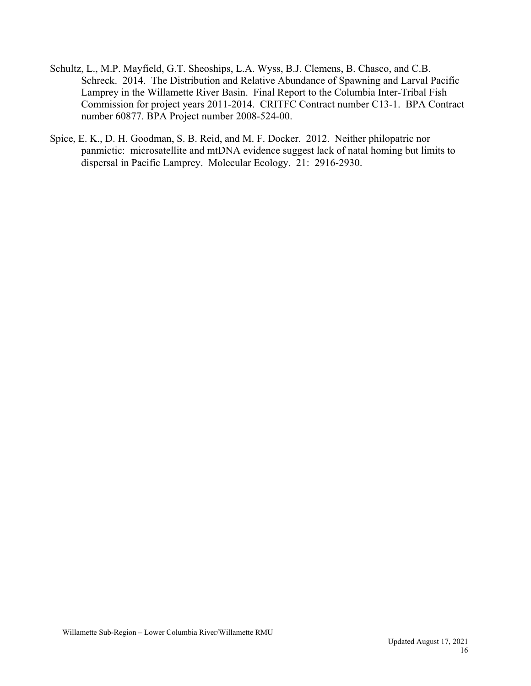- Schultz, L., M.P. Mayfield, G.T. Sheoships, L.A. Wyss, B.J. Clemens, B. Chasco, and C.B. Schreck. 2014. The Distribution and Relative Abundance of Spawning and Larval Pacific Lamprey in the Willamette River Basin. Final Report to the Columbia Inter-Tribal Fish Commission for project years 2011-2014. CRITFC Contract number C13-1. BPA Contract number 60877. BPA Project number 2008-524-00.
- Spice, E. K., D. H. Goodman, S. B. Reid, and M. F. Docker. 2012. Neither philopatric nor panmictic: microsatellite and mtDNA evidence suggest lack of natal homing but limits to dispersal in Pacific Lamprey. Molecular Ecology. 21: 2916-2930.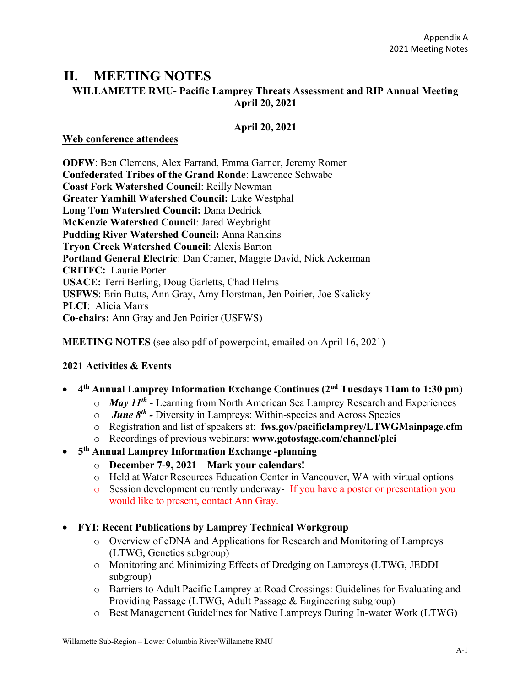#### **II. MEETING NOTES WILLAMETTE RMU- Pacific Lamprey Threats Assessment and RIP Annual Meeting April 20, 2021**

#### **April 20, 2021**

#### **Web conference attendees**

**ODFW**: Ben Clemens, Alex Farrand, Emma Garner, Jeremy Romer **Confederated Tribes of the Grand Ronde**: Lawrence Schwabe **Coast Fork Watershed Council**: Reilly Newman **Greater Yamhill Watershed Council:** Luke Westphal **Long Tom Watershed Council:** Dana Dedrick **McKenzie Watershed Council**: Jared Weybright **Pudding River Watershed Council:** Anna Rankins **Tryon Creek Watershed Council**: Alexis Barton **Portland General Electric**: Dan Cramer, Maggie David, Nick Ackerman **CRITFC:** Laurie Porter **USACE:** Terri Berling, Doug Garletts, Chad Helms **USFWS**: Erin Butts, Ann Gray, Amy Horstman, Jen Poirier, Joe Skalicky **PLCI**: Alicia Marrs **Co-chairs:** Ann Gray and Jen Poirier (USFWS)

**MEETING NOTES** (see also pdf of powerpoint, emailed on April 16, 2021)

#### **2021 Activities & Events**

- **4th Annual Lamprey Information Exchange Continues (2nd Tuesdays 11am to 1:30 pm)** 
	- o *May 11th* Learning from North American Sea Lamprey Research and Experiences
	- o *June 8th -* Diversity in Lampreys: Within-species and Across Species
	- o Registration and list of speakers at: **fws.gov/pacificlamprey/LTWGMainpage.cfm**
	- o Recordings of previous webinars: **www.gotostage.com/channel/plci**
- **5th Annual Lamprey Information Exchange -planning** 
	- o **December 7-9, 2021 Mark your calendars!**
	- o Held at Water Resources Education Center in Vancouver, WA with virtual options
	- o Session development currently underway- If you have a poster or presentation you would like to present, contact Ann Gray.
- **FYI: Recent Publications by Lamprey Technical Workgroup** 
	- o Overview of eDNA and Applications for Research and Monitoring of Lampreys (LTWG, Genetics subgroup)
	- o Monitoring and Minimizing Effects of Dredging on Lampreys (LTWG, JEDDI subgroup)
	- o Barriers to Adult Pacific Lamprey at Road Crossings: Guidelines for Evaluating and Providing Passage (LTWG, Adult Passage & Engineering subgroup)
	- o Best Management Guidelines for Native Lampreys During In-water Work (LTWG)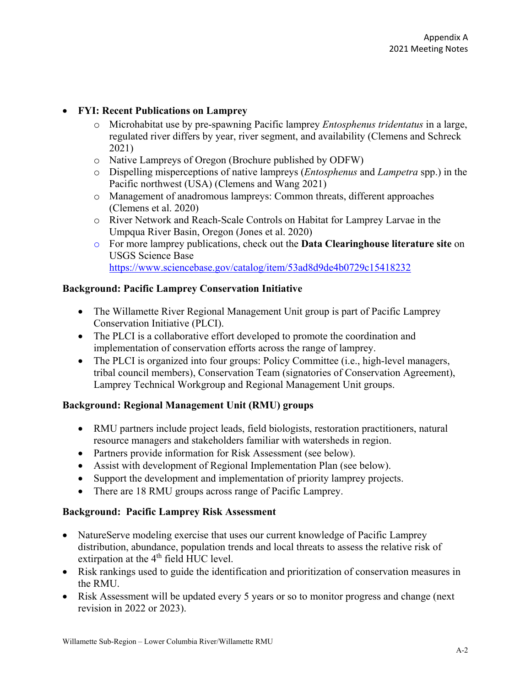#### **FYI: Recent Publications on Lamprey**

- o Microhabitat use by pre‐spawning Pacific lamprey *Entosphenus tridentatus* in a large, regulated river differs by year, river segment, and availability (Clemens and Schreck 2021)
- o Native Lampreys of Oregon (Brochure published by ODFW)
- o Dispelling misperceptions of native lampreys (*Entosphenus* and *Lampetra* spp.) in the Pacific northwest (USA) (Clemens and Wang 2021)
- o Management of anadromous lampreys: Common threats, different approaches (Clemens et al. 2020)
- o River Network and Reach-Scale Controls on Habitat for Lamprey Larvae in the Umpqua River Basin, Oregon (Jones et al. 2020)
- o For more lamprey publications, check out the **Data Clearinghouse literature site** on USGS Science Base https://www.sciencebase.gov/catalog/item/53ad8d9de4b0729c15418232

#### **Background: Pacific Lamprey Conservation Initiative**

- The Willamette River Regional Management Unit group is part of Pacific Lamprey Conservation Initiative (PLCI).
- The PLCI is a collaborative effort developed to promote the coordination and implementation of conservation efforts across the range of lamprey.
- The PLCI is organized into four groups: Policy Committee (i.e., high-level managers, tribal council members), Conservation Team (signatories of Conservation Agreement), Lamprey Technical Workgroup and Regional Management Unit groups.

#### **Background: Regional Management Unit (RMU) groups**

- RMU partners include project leads, field biologists, restoration practitioners, natural resource managers and stakeholders familiar with watersheds in region.
- Partners provide information for Risk Assessment (see below).
- Assist with development of Regional Implementation Plan (see below).
- Support the development and implementation of priority lamprey projects.
- There are 18 RMU groups across range of Pacific Lamprey.

#### **Background: Pacific Lamprey Risk Assessment**

- NatureServe modeling exercise that uses our current knowledge of Pacific Lamprey distribution, abundance, population trends and local threats to assess the relative risk of extirpation at the  $4<sup>th</sup>$  field HUC level.
- Risk rankings used to guide the identification and prioritization of conservation measures in the RMU.
- Risk Assessment will be updated every 5 years or so to monitor progress and change (next revision in 2022 or 2023).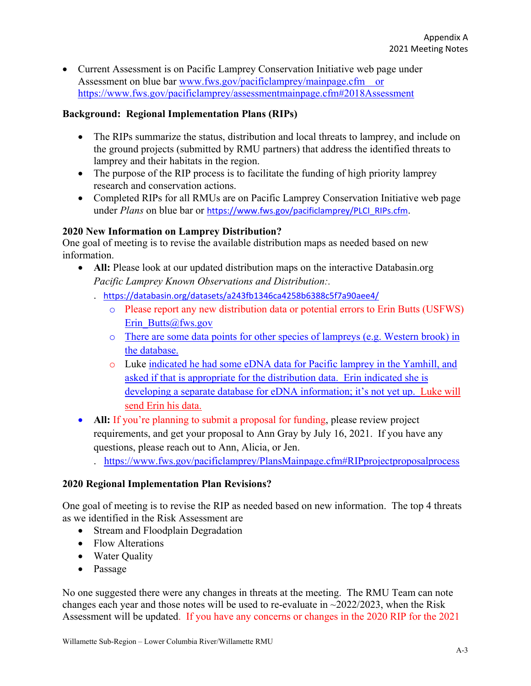Current Assessment is on Pacific Lamprey Conservation Initiative web page under Assessment on blue bar www.fws.gov/pacificlamprey/mainpage.cfm or https://www.fws.gov/pacificlamprey/assessmentmainpage.cfm#2018Assessment

#### **Background: Regional Implementation Plans (RIPs)**

- The RIPs summarize the status, distribution and local threats to lamprey, and include on the ground projects (submitted by RMU partners) that address the identified threats to lamprey and their habitats in the region.
- The purpose of the RIP process is to facilitate the funding of high priority lamprey research and conservation actions.
- Completed RIPs for all RMUs are on Pacific Lamprey Conservation Initiative web page under *Plans* on blue bar or https://www.fws.gov/pacificlamprey/PLCI\_RIPs.cfm.

#### **2020 New Information on Lamprey Distribution?**

One goal of meeting is to revise the available distribution maps as needed based on new information.

- **All:** Please look at our updated distribution maps on the interactive Databasin.org *Pacific Lamprey Known Observations and Distribution:.* 
	- . https://databasin.org/datasets/a243fb1346ca4258b6388c5f7a90aee4/
		- o Please report any new distribution data or potential errors to Erin Butts (USFWS) Erin\_Butts@fws.gov
		- o There are some data points for other species of lampreys (e.g. Western brook) in the database.
		- o Luke indicated he had some eDNA data for Pacific lamprey in the Yamhill, and asked if that is appropriate for the distribution data. Erin indicated she is developing a separate database for eDNA information; it's not yet up. Luke will send Erin his data.
- All: If you're planning to submit a proposal for funding, please review project requirements, and get your proposal to Ann Gray by July 16, 2021. If you have any questions, please reach out to Ann, Alicia, or Jen.
	- . https://www.fws.gov/pacificlamprey/PlansMainpage.cfm#RIPprojectproposalprocess

#### **2020 Regional Implementation Plan Revisions?**

One goal of meeting is to revise the RIP as needed based on new information. The top 4 threats as we identified in the Risk Assessment are

- Stream and Floodplain Degradation
- Flow Alterations
- Water Quality
- Passage

No one suggested there were any changes in threats at the meeting. The RMU Team can note changes each year and those notes will be used to re-evaluate in  $\sim$ 2022/2023, when the Risk Assessment will be updated. If you have any concerns or changes in the 2020 RIP for the 2021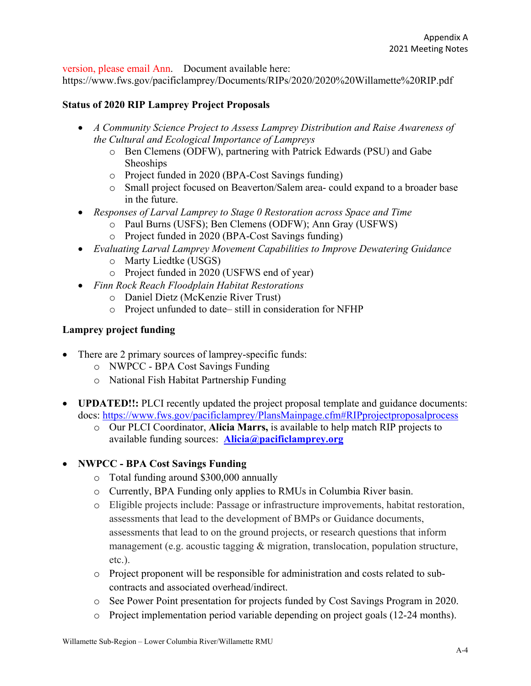version, please email Ann. Document available here: https://www.fws.gov/pacificlamprey/Documents/RIPs/2020/2020%20Willamette%20RIP.pdf

#### **Status of 2020 RIP Lamprey Project Proposals**

- *A Community Science Project to Assess Lamprey Distribution and Raise Awareness of the Cultural and Ecological Importance of Lampreys* 
	- o Ben Clemens (ODFW), partnering with Patrick Edwards (PSU) and Gabe Sheoships
	- o Project funded in 2020 (BPA-Cost Savings funding)
	- o Small project focused on Beaverton/Salem area- could expand to a broader base in the future.
- *Responses of Larval Lamprey to Stage 0 Restoration across Space and Time* 
	- o Paul Burns (USFS); Ben Clemens (ODFW); Ann Gray (USFWS)
		- o Project funded in 2020 (BPA-Cost Savings funding)
- *Evaluating Larval Lamprey Movement Capabilities to Improve Dewatering Guidance*
	- o Marty Liedtke (USGS)
	- o Project funded in 2020 (USFWS end of year)
- *Finn Rock Reach Floodplain Habitat Restorations*
	- o Daniel Dietz (McKenzie River Trust)
	- o Project unfunded to date– still in consideration for NFHP

#### **Lamprey project funding**

- There are 2 primary sources of lamprey-specific funds:
	- o NWPCC BPA Cost Savings Funding
	- o National Fish Habitat Partnership Funding
- **UPDATED!!:** PLCI recently updated the project proposal template and guidance documents: docs: https://www.fws.gov/pacificlamprey/PlansMainpage.cfm#RIPprojectproposalprocess
	- o Our PLCI Coordinator, **Alicia Marrs,** is available to help match RIP projects to available funding sources: **Alicia@pacificlamprey.org**

#### **NWPCC - BPA Cost Savings Funding**

- o Total funding around \$300,000 annually
- o Currently, BPA Funding only applies to RMUs in Columbia River basin.
- o Eligible projects include: Passage or infrastructure improvements, habitat restoration, assessments that lead to the development of BMPs or Guidance documents, assessments that lead to on the ground projects, or research questions that inform management (e.g. acoustic tagging & migration, translocation, population structure, etc.).
- o Project proponent will be responsible for administration and costs related to subcontracts and associated overhead/indirect.
- o See Power Point presentation for projects funded by Cost Savings Program in 2020.
- o Project implementation period variable depending on project goals (12-24 months).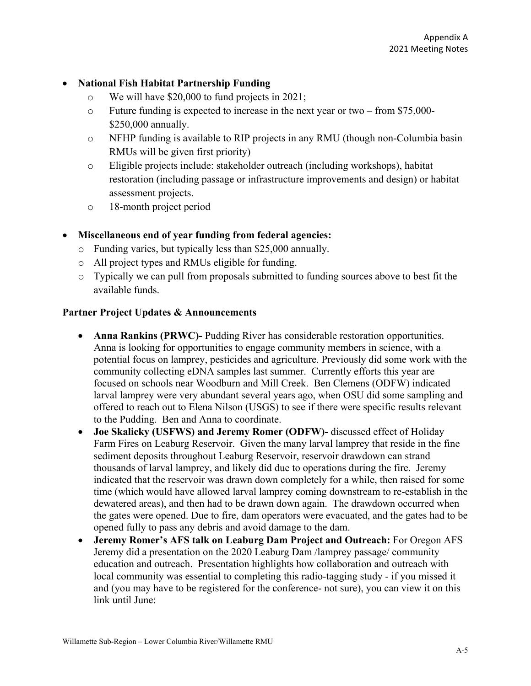#### **National Fish Habitat Partnership Funding**

- o We will have \$20,000 to fund projects in 2021;
- o Future funding is expected to increase in the next year or two from \$75,000- \$250,000 annually.
- o NFHP funding is available to RIP projects in any RMU (though non-Columbia basin RMUs will be given first priority)
- o Eligible projects include: stakeholder outreach (including workshops), habitat restoration (including passage or infrastructure improvements and design) or habitat assessment projects.
- o 18-month project period

#### **Miscellaneous end of year funding from federal agencies:**

- o Funding varies, but typically less than \$25,000 annually.
- o All project types and RMUs eligible for funding.
- o Typically we can pull from proposals submitted to funding sources above to best fit the available funds.

#### **Partner Project Updates & Announcements**

- **Anna Rankins (PRWC)-** Pudding River has considerable restoration opportunities. Anna is looking for opportunities to engage community members in science, with a potential focus on lamprey, pesticides and agriculture. Previously did some work with the community collecting eDNA samples last summer. Currently efforts this year are focused on schools near Woodburn and Mill Creek. Ben Clemens (ODFW) indicated larval lamprey were very abundant several years ago, when OSU did some sampling and offered to reach out to Elena Nilson (USGS) to see if there were specific results relevant to the Pudding. Ben and Anna to coordinate.
- **Joe Skalicky (USFWS) and Jeremy Romer (ODFW)-** discussed effect of Holiday Farm Fires on Leaburg Reservoir. Given the many larval lamprey that reside in the fine sediment deposits throughout Leaburg Reservoir, reservoir drawdown can strand thousands of larval lamprey, and likely did due to operations during the fire. Jeremy indicated that the reservoir was drawn down completely for a while, then raised for some time (which would have allowed larval lamprey coming downstream to re-establish in the dewatered areas), and then had to be drawn down again. The drawdown occurred when the gates were opened. Due to fire, dam operators were evacuated, and the gates had to be opened fully to pass any debris and avoid damage to the dam.
- **Jeremy Romer's AFS talk on Leaburg Dam Project and Outreach:** For Oregon AFS Jeremy did a presentation on the 2020 Leaburg Dam /lamprey passage/ community education and outreach. Presentation highlights how collaboration and outreach with local community was essential to completing this radio-tagging study - if you missed it and (you may have to be registered for the conference- not sure), you can view it on this link until June: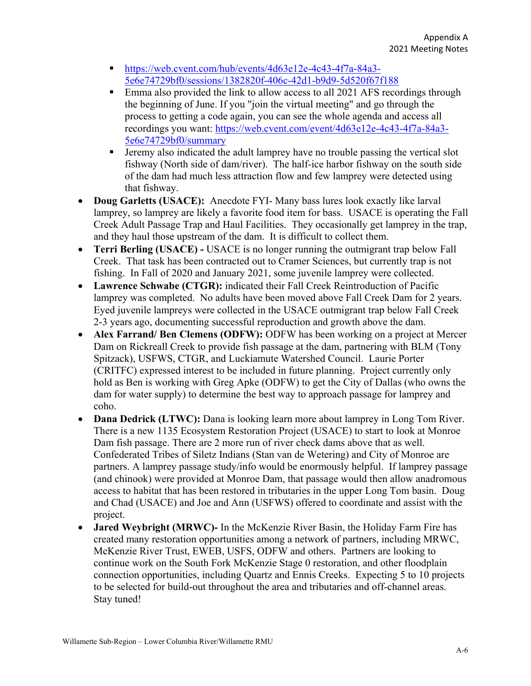- https://web.cvent.com/hub/events/4d63e12e-4c43-4f7a-84a3-5e6e74729bf0/sessions/1382820f-406c-42d1-b9d9-5d520f67f188
- Emma also provided the link to allow access to all 2021 AFS recordings through the beginning of June. If you "join the virtual meeting" and go through the process to getting a code again, you can see the whole agenda and access all recordings you want: https://web.cvent.com/event/4d63e12e-4c43-4f7a-84a3- 5e6e74729bf0/summary
- **Example 1** Jeremy also indicated the adult lamprey have no trouble passing the vertical slot fishway (North side of dam/river). The half-ice harbor fishway on the south side of the dam had much less attraction flow and few lamprey were detected using that fishway.
- **Doug Garletts (USACE):** Anecdote FYI- Many bass lures look exactly like larval lamprey, so lamprey are likely a favorite food item for bass. USACE is operating the Fall Creek Adult Passage Trap and Haul Facilities. They occasionally get lamprey in the trap, and they haul those upstream of the dam. It is difficult to collect them.
- **Terri Berling (USACE) -** USACE is no longer running the outmigrant trap below Fall Creek. That task has been contracted out to Cramer Sciences, but currently trap is not fishing. In Fall of 2020 and January 2021, some juvenile lamprey were collected.
- **Lawrence Schwabe (CTGR):** indicated their Fall Creek Reintroduction of Pacific lamprey was completed. No adults have been moved above Fall Creek Dam for 2 years. Eyed juvenile lampreys were collected in the USACE outmigrant trap below Fall Creek 2-3 years ago, documenting successful reproduction and growth above the dam.
- **Alex Farrand/ Ben Clemens (ODFW):** ODFW has been working on a project at Mercer Dam on Rickreall Creek to provide fish passage at the dam, partnering with BLM (Tony Spitzack), USFWS, CTGR, and Luckiamute Watershed Council. Laurie Porter (CRITFC) expressed interest to be included in future planning. Project currently only hold as Ben is working with Greg Apke (ODFW) to get the City of Dallas (who owns the dam for water supply) to determine the best way to approach passage for lamprey and coho.
- **Dana Dedrick (LTWC):** Dana is looking learn more about lamprey in Long Tom River. There is a new 1135 Ecosystem Restoration Project (USACE) to start to look at Monroe Dam fish passage. There are 2 more run of river check dams above that as well. Confederated Tribes of Siletz Indians (Stan van de Wetering) and City of Monroe are partners. A lamprey passage study/info would be enormously helpful. If lamprey passage (and chinook) were provided at Monroe Dam, that passage would then allow anadromous access to habitat that has been restored in tributaries in the upper Long Tom basin. Doug and Chad (USACE) and Joe and Ann (USFWS) offered to coordinate and assist with the project.
- **Jared Weybright (MRWC)-** In the McKenzie River Basin, the Holiday Farm Fire has created many restoration opportunities among a network of partners, including MRWC, McKenzie River Trust, EWEB, USFS, ODFW and others. Partners are looking to continue work on the South Fork McKenzie Stage 0 restoration, and other floodplain connection opportunities, including Quartz and Ennis Creeks. Expecting 5 to 10 projects to be selected for build-out throughout the area and tributaries and off-channel areas. Stay tuned!